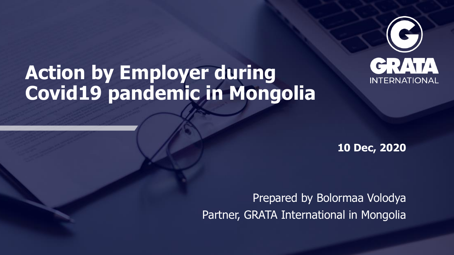

# **Action by Employer during Covid19 pandemic in Mongolia**

**10 Dec, 2020**

Prepared by Bolormaa Volodya Partner, GRATA International in Mongolia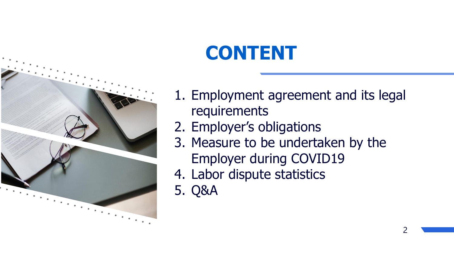# **CONTENT**

- 1. Employment agreement and its legal requirements
- 2. Employer's obligations
- 3. Measure to be undertaken by the Employer during COVID19
- 4. Labor dispute statistics
- 5. Q&A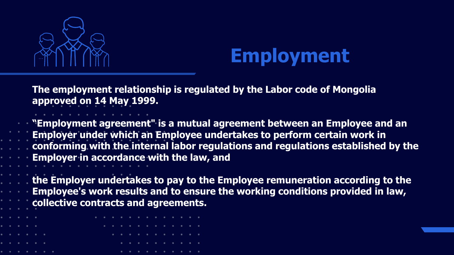

# **Employment**

**The employment relationship is regulated by the Labor code of Mongolia approved on 14 May 1999.** 

**"Employment agreement" is a mutual agreement between an Employee and an Employer under which an Employee undertakes to perform certain work in conforming with the internal labor regulations and regulations established by the Employer in accordance with the law, and** 

**the Employer undertakes to pay to the Employee remuneration according to the Employee's work results and to ensure the working conditions provided in law, collective contracts and agreements.**

| . |  |   |  | . |  |   |   |  |  |  |  |
|---|--|---|--|---|--|---|---|--|--|--|--|
| . |  |   |  |   |  |   | . |  |  |  |  |
|   |  | . |  |   |  |   | . |  |  |  |  |
|   |  | . |  |   |  |   | . |  |  |  |  |
|   |  | . |  |   |  | 事 | . |  |  |  |  |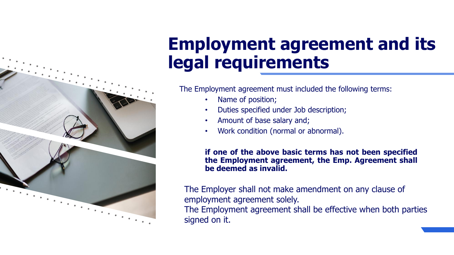## **Employment agreement and its legal requirements**

The Employment agreement must included the following terms:

• Name of position;

- Duties specified under Job description;
- Amount of base salary and;
- Work condition (normal or abnormal).

**if one of the above basic terms has not been specified the Employment agreement, the Emp. Agreement shall be deemed as invalid.**

The Employer shall not make amendment on any clause of employment agreement solely.

The Employment agreement shall be effective when both parties signed on it.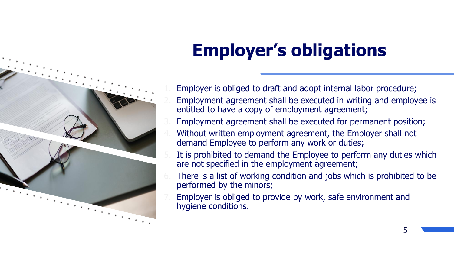# **Employer's obligations**

- Employer is obliged to draft and adopt internal labor procedure;
- 2. Employment agreement shall be executed in writing and employee is entitled to have a copy of employment agreement;
- Employment agreement shall be executed for permanent position;
- Without written employment agreement, the Employer shall not demand Employee to perform any work or duties;
- It is prohibited to demand the Employee to perform any duties which are not specified in the employment agreement;
- There is a list of working condition and jobs which is prohibited to be performed by the minors;
- Employer is obliged to provide by work, safe environment and hygiene conditions.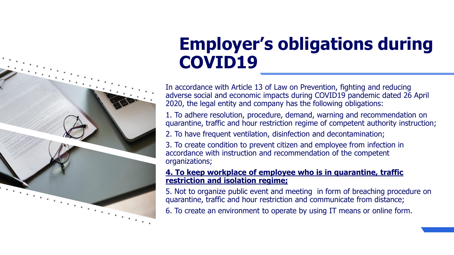## **Employer's obligations during COVID19**

In accordance with Article 13 of Law on Prevention, fighting and reducing adverse social and economic impacts during COVID19 pandemic dated 26 April 2020, the legal entity and company has the following obligations:

1. To adhere resolution, procedure, demand, warning and recommendation on quarantine, traffic and hour restriction regime of competent authority instruction;

2. To have frequent ventilation, disinfection and decontamination;

3. To create condition to prevent citizen and employee from infection in accordance with instruction and recommendation of the competent organizations;

#### **4. To keep workplace of employee who is in quarantine, traffic restriction and isolation regime;**

5. Not to organize public event and meeting in form of breaching procedure on quarantine, traffic and hour restriction and communicate from distance;

6. To create an environment to operate by using IT means or online form.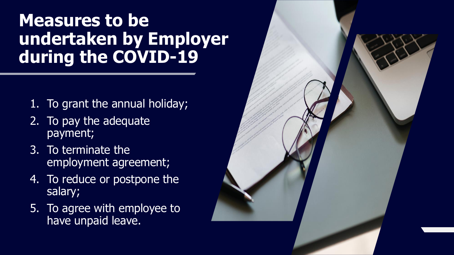#### **Measures to be undertaken by Employer during the COVID -19**

- 1. To grant the annual holiday;
- 2. To pay the adequate payment;
- 3. To terminate the employment agreement;
- 4. To reduce or postpone the salary;
- 5. To agree with employee to have unpaid leave.

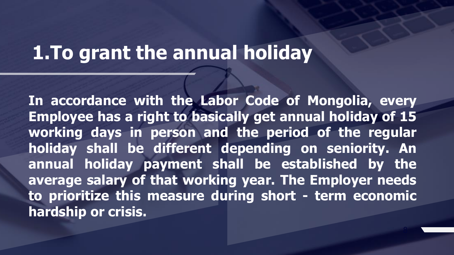## **1.To grant the annual holiday**

**In accordance with the Labor Code of Mongolia, every Employee has a right to basically get annual holiday of 15 working days in person and the period of the regular holiday shall be different depending on seniority. An annual holiday payment shall be established by the average salary of that working year. The Employer needs to prioritize this measure during short - term economic hardship or crisis.**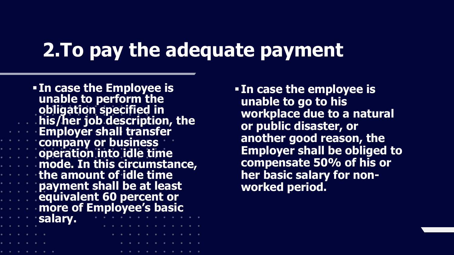## **2. To pay the adequate payment**

▪ **In case the Employee is unable to perform the obligation specified in his/her job description, the Employer shall transfer company or business decomposition into idle time mode. In this circumstance, the amount of idle time payment shall be at least equivalent 60 percent or more of Employee's basic salary.** 

▪ **In case the employee is unable to go to his workplace due to a natural or public disaster, or another good reason, the Employer shall be obliged to compensate 50% of his or her basic salary for nonworked period.**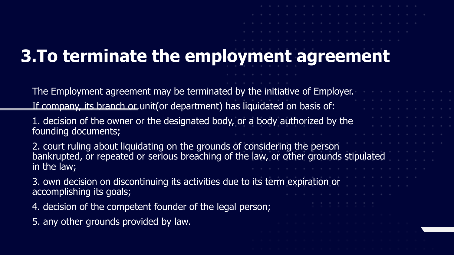# **3.To terminate the employment agreement**

The Employment agreement may be terminated by the initiative of Employer. If company, its branch or unit(or department) has liquidated on basis of:

1. decision of the owner or the designated body, or a body authorized by the founding documents;

2. court ruling about liquidating on the grounds of considering the person bankrupted, or repeated or serious breaching of the law, or other grounds stipulated in the law;

3. own decision on discontinuing its activities due to its term expiration or accomplishing its goals;

4. decision of the competent founder of the legal person;

5. any other grounds provided by law.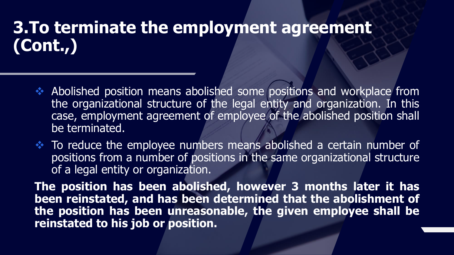#### **3.To terminate the employment agreement (Cont.,)**

- ❖ Abolished position means abolished some positions and workplace from the organizational structure of the legal entity and organization. In this case, employment agreement of employee of the abolished position shall be terminated.
- ❖ To reduce the employee numbers means abolished a certain number of positions from a number of positions in the same organizational structure of a legal entity or organization.

**The position has been abolished, however 3 months later it has been reinstated, and has been determined that the abolishment of the position has been unreasonable, the given employee shall be reinstated to his job or position.**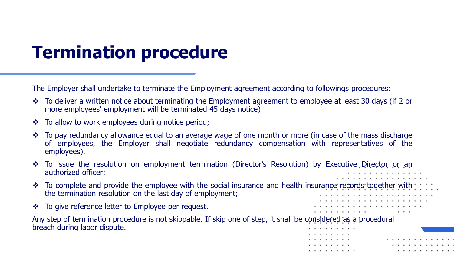## **Termination procedure**

The Employer shall undertake to terminate the Employment agreement according to followings procedures:

- ❖ To deliver a written notice about terminating the Employment agreement to employee at least 30 days (if 2 or more employees' employment will be terminated 45 days notice)
- To allow to work employees during notice period;
- ❖ To pay redundancy allowance equal to an average wage of one month or more (in case of the mass discharge of employees, the Employer shall negotiate redundancy compensation with representatives of the employees).
- ❖ To issue the resolution on employment termination (Director's Resolution) by Executive Director or an authorized officer;
- To complete and provide the employee with the social insurance and health insurance records together with the termination resolution on the last day of employment;

. . . . . . .

❖ To give reference letter to Employee per request.

Any step of termination procedure is not skippable. If skip one of step, it shall be considered as a procedural breach during labor dispute.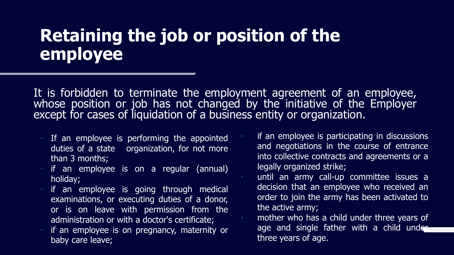#### **Retaining the job or position of the employee**

It is forbidden to terminate the employment agreement of an employee, whose position or job has not changed by the initiative of the Employer except for cases of liquidation of a business entity or organization.

- If an employee is performing the appointed duties of a state organization, for not more than 3 months;
- if an employee is on a regular (annual) holiday;
- if an employee is going through medical examinations, or executing duties of a donor, or is on leave with permission from the administration or with a doctor's certificate;
- if an employee is on pregnancy, maternity or baby care leave;

if an employee is participating in discussions and negotiations in the course of entrance into collective contracts and agreements or a legally organized strike;

• until an army call-up committee issues a decision that an employee who received an order to join the army has been activated to the active army;

age and single father with a child under mother who has a child under three years of three years of age.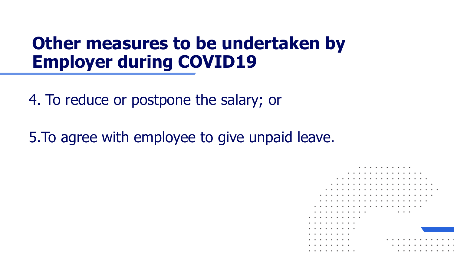### **Other measures to be undertaken by Employer during COVID19**

4. To reduce or postpone the salary; or

5.To agree with employee to give unpaid leave.

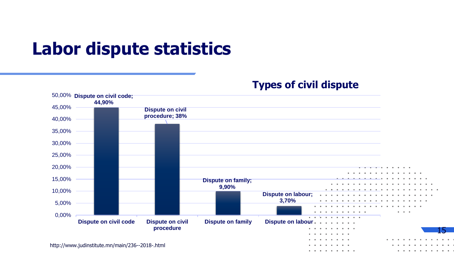### **Labor dispute statistics**

**Types of civil dispute**

. . . . . .

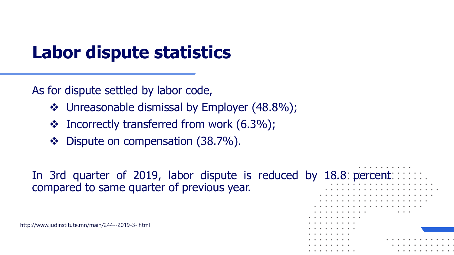## **Labor dispute statistics**

As for dispute settled by labor code,

- ❖ Unreasonable dismissal by Employer (48.8%);
- ❖ Incorrectly transferred from work (6.3%);
- ❖ Dispute on compensation (38.7%).

In 3rd quarter of 2019, labor dispute is reduced by 18.8 percent compared to same quarter of previous year.

http://www.judinstitute.mn/main/244--2019-3-.html